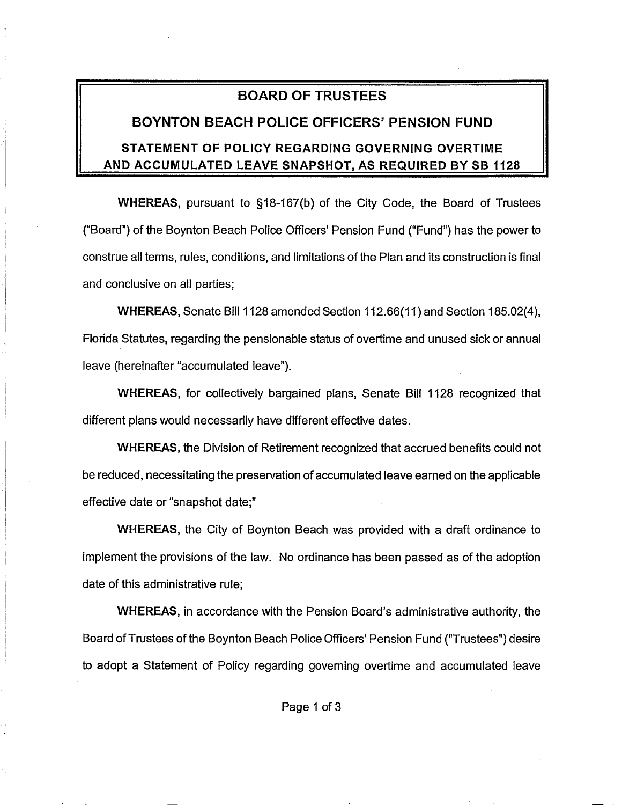## **BOARD OF TRUSTEES**

## **BOYNTON BEACH POLICE OFFICERS' PENSION FUND**

## **STATEMENT OF POLICY REGARDING GOVERNING OVERTIME AND ACCUMULATED LEAVE SNAPSHOT, AS REQUIRED BY 58 1128**

**WHEREAS,** pursuant to §18-167(b) of the City Code, the Board of Trustees ("Board") of the Boynton Beach Police Officers' Pension Fund ("Fund") has the power to construe all terms, rules, conditions, and limitations of the Plan and its construction is final and conclusive on all parties;

**WHEREAS, Senate Bill 1128 amended Section 112.66(11) and Section 185.02(4),** Florida Statutes, regarding the pensionable status of overtime and unused sick or annual leave (hereinafter "accumulated leave").

**WHEREAS,** for collectively bargained plans, Senate Bill 1128 recognized that different plans would necessarily have different effective dates.

**WHEREAS,** the Division of Retirement recognized that accrued benefits could not be reduced, necessitating the preservation of accumulated leave earned on the applicable effective date or "snapshot date;"

**WHEREAS,** the City of Boynton Beach was provided with a draft ordinance to implement the provisions of the law. No ordinance has been passed as of the adoption date of this administrative rule;

**WHEREAS,** in accordance with the Pension Board's administrative authority, the Board of Trustees of the Boynton Beach Police Officers' Pension Fund ("Trustees") desire to adopt a Statement of Policy regarding governing overtime and accumulated leave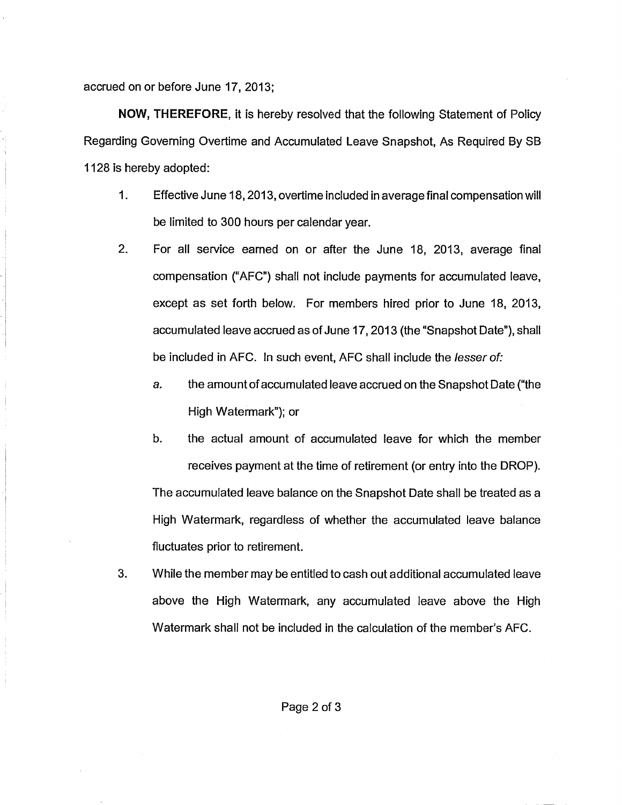accrued on or before June 17, 2013;

**NOW, THEREFORE,** it is hereby resolved that the following Statement of Policy Regarding Governing Overtime and Accumulated Leave Snapshot, As Required By SB 1128 is hereby adopted:

- 1. Effective June 18, 2013, overtime included in average final compensation will be limited to 300 hours per calendar year.
- 2. For all service earned on or after the June 18, 2013, average final compensation ("AFC") shall not include payments for accumulated leave, except as set forth below. For members hired prior to June 18, 2013, accumulated leave accrued as of June 17, 2013 (the "Snapshot Date"), shall be included in AFC. In such event, AFC shall include the lesser of:
	- a. the amount of accumulated leave accrued on the Snapshot Date ("the High Watermark"); or
	- b. the actual amount of accumulated leave for which the member receives payment at the time of retirement (or entry into the DROP). The accumulated leave balance on the Snapshot Date shall be treated as a High Watermark, regardless of whether the accumulated leave balance fluctuates prior to retirement.
- 3. While the member may be entitled to cash out additional accumulated leave above the High Watermark, any accumulated leave above the High Watermark shall not be included in the calculation of the member's AFC.